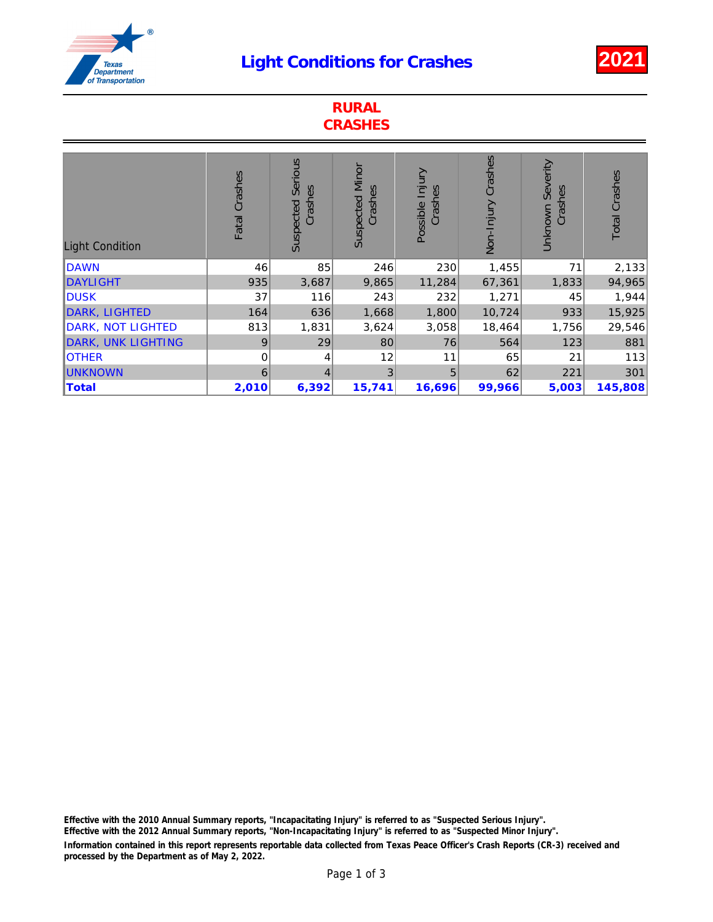## Light Conditions for Crashes 2021



| <b>RURAL</b><br><b>CRASHES</b> |               |                                        |                                   |                            |                    |                                |                      |
|--------------------------------|---------------|----------------------------------------|-----------------------------------|----------------------------|--------------------|--------------------------------|----------------------|
| <b>Light Condition</b>         | Fatal Crashes | <b>Serious</b><br>Crashes<br>Suspected | <b>Suspected Minor</b><br>Crashes | Possible Injury<br>Crashes | Non-Injury Crashes | Severity<br>Crashes<br>Unknown | <b>Total Crashes</b> |
| <b>DAWN</b>                    | 46            | 85                                     | 246                               | 230                        | 1,455              | 71                             | 2,133                |
| <b>DAYLIGHT</b>                | 935           | 3,687                                  | 9,865                             | 11,284                     | 67,361             | 1,833                          | 94,965               |
| <b>DUSK</b>                    | 37            | 116                                    | 243                               | 232                        | 1,271              | 45                             | 1,944                |
| <b>DARK, LIGHTED</b>           | 164           | 636                                    | 1,668                             | 1,800                      | 10,724             | 933                            | 15,925               |
| DARK, NOT LIGHTED              | 813           | 1,831                                  | 3,624                             | 3,058                      | 18,464             | 1,756                          | 29,546               |
| <b>DARK, UNK LIGHTING</b>      | 9             | 29                                     | 80                                | 76                         | 564                | 123                            | 881                  |
| <b>OTHER</b>                   | 0             | 4                                      | 12                                | 11                         | 65                 | 21                             | 113                  |
| <b>UNKNOWN</b>                 | 6             | 4                                      | 3                                 | 5                          | 62                 | 221                            | 301                  |
| Total                          | 2,010         | 6,392                                  | 15,741                            | 16,696                     | 99,966             | 5,003                          | 145,808              |

Information contained in this report represents reportable data collected from Texas Peace Officer's Crash Reports (CR-3) received and processed by the Department as of May 2, 2022. Effective with the 2010 Annual Summary reports, "Incapacitating Injury" is referred to as "Suspected Serious Injury". Effective with the 2012 Annual Summary reports, "Non-Incapacitating Injury" is referred to as "Suspected Minor Injury".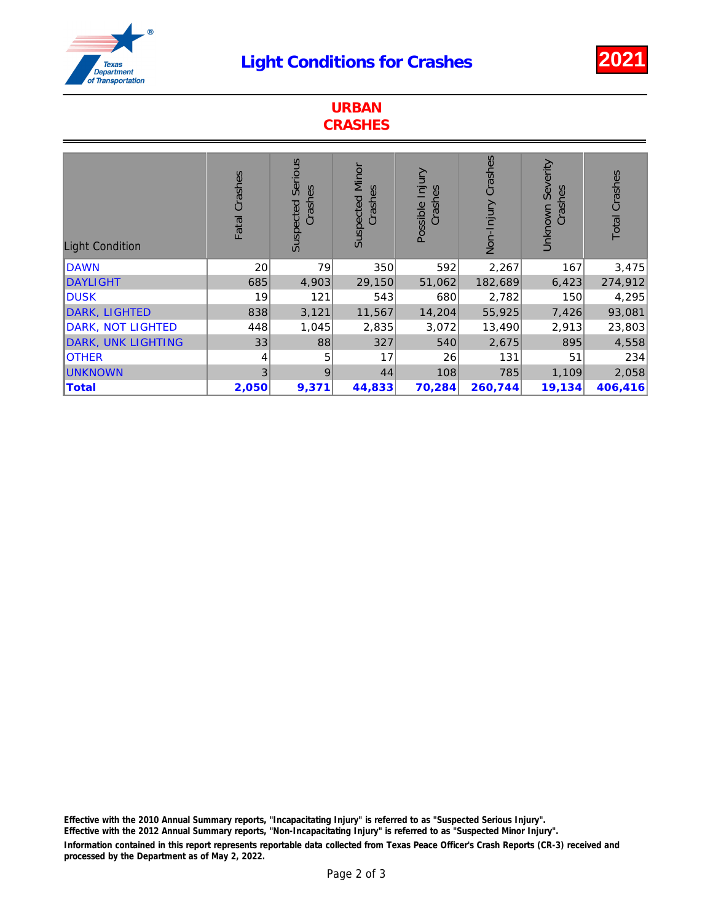## Light Conditions for Crashes 2021



| <b>URBAN</b><br><b>CRASHES</b> |               |                                 |                                   |                            |                    |                                |                      |
|--------------------------------|---------------|---------------------------------|-----------------------------------|----------------------------|--------------------|--------------------------------|----------------------|
| <b>Light Condition</b>         | Fatal Crashes | Serious<br>Crashes<br>Suspected | <b>Suspected Minor</b><br>Crashes | Possible Injury<br>Crashes | Non-Injury Crashes | Severity<br>Crashes<br>Unknown | <b>Total Crashes</b> |
| <b>DAWN</b>                    | 20            | 79                              | 350                               | 592                        | 2,267              | 167                            | 3,475                |
| <b>DAYLIGHT</b>                | 685           | 4,903                           | 29,150                            | 51,062                     | 182,689            | 6,423                          | 274,912              |
| <b>DUSK</b>                    | 19            | 121                             | 543                               | 680                        | 2,782              | 150                            | 4,295                |
| <b>DARK, LIGHTED</b>           | 838           | 3,121                           | 11,567                            | 14,204                     | 55,925             | 7,426                          | 93,081               |
| DARK, NOT LIGHTED              | 448           | 1,045                           | 2,835                             | 3,072                      | 13,490             | 2,913                          | 23,803               |
| <b>DARK, UNK LIGHTING</b>      | 33            | 88                              | 327                               | 540                        | 2,675              | 895                            | 4,558                |
| <b>OTHER</b>                   | 4             | 5                               | 17                                | 26                         | 131                | 51                             | 234                  |
| <b>UNKNOWN</b>                 | 3             | 9                               | 44                                | 108                        | 785                | 1,109                          | 2,058                |
| <b>Total</b>                   | 2,050         | 9,371                           | 44,833                            | 70,284                     | 260,744            | 19,134                         | 406,416              |

Information contained in this report represents reportable data collected from Texas Peace Officer's Crash Reports (CR-3) received and processed by the Department as of May 2, 2022. Effective with the 2010 Annual Summary reports, "Incapacitating Injury" is referred to as "Suspected Serious Injury". Effective with the 2012 Annual Summary reports, "Non-Incapacitating Injury" is referred to as "Suspected Minor Injury".